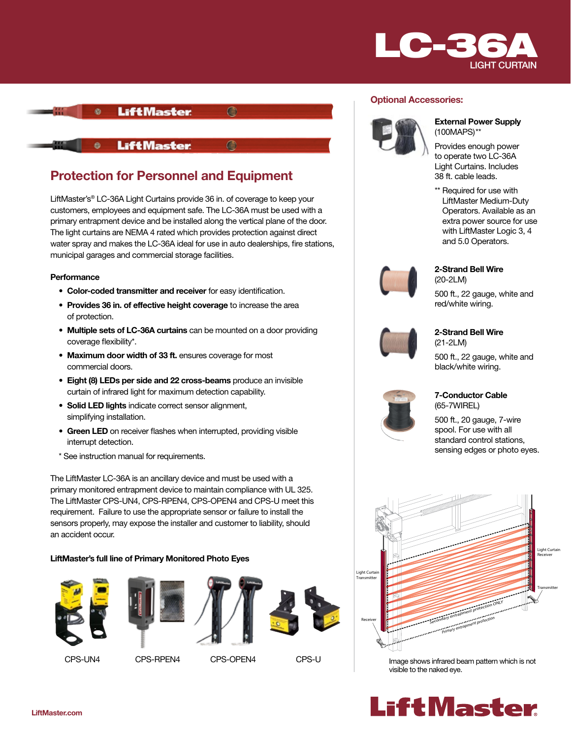



# Protection for Personnel and Equipment

LiftMaster's® LC-36A Light Curtains provide 36 in. of coverage to keep your customers, employees and equipment safe. The LC-36A must be used with a primary entrapment device and be installed along the vertical plane of the door. The light curtains are NEMA 4 rated which provides protection against direct water spray and makes the LC-36A ideal for use in auto dealerships, fire stations, municipal garages and commercial storage facilities.

## **Performance**

- Color-coded transmitter and receiver for easy identification.
- Provides 36 in. of effective height coverage to increase the area of protection.
- Multiple sets of LC-36A curtains can be mounted on a door providing coverage flexibility\*.
- Maximum door width of 33 ft. ensures coverage for most commercial doors.
- Eight (8) LEDs per side and 22 cross-beams produce an invisible curtain of infrared light for maximum detection capability.
- Solid LED lights indicate correct sensor alignment, simplifying installation.
- Green LED on receiver flashes when interrupted, providing visible interrupt detection.
- \* See instruction manual for requirements.

The LiftMaster LC-36A is an ancillary device and must be used with a primary monitored entrapment device to maintain compliance with UL 325. The LiftMaster CPS-UN4, CPS-RPEN4, CPS-OPEN4 and CPS-U meet this requirement. Failure to use the appropriate sensor or failure to install the sensors properly, may expose the installer and customer to liability, should an accident occur.

## LiftMaster's full line of Primary Monitored Photo Eyes

















#### External Power Supply (100MAPS)\*\*

Provides enough power to operate two LC-36A Light Curtains. Includes 38 ft. cable leads.

\*\* Required for use with LiftMaster Medium-Duty Operators. Available as an extra power source for use with LiftMaster Logic 3, 4 and 5.0 Operators.



## 2-Strand Bell Wire (20-2LM)

500 ft., 22 gauge, white and red/white wiring.



#### 2-Strand Bell Wire (21-2LM)

500 ft., 22 gauge, white and black/white wiring.



## 7-Conductor Cable (65-7WIREL)

500 ft., 20 gauge, 7-wire spool. For use with all standard control stations, sensing edges or photo eyes.



mage eneric minared by